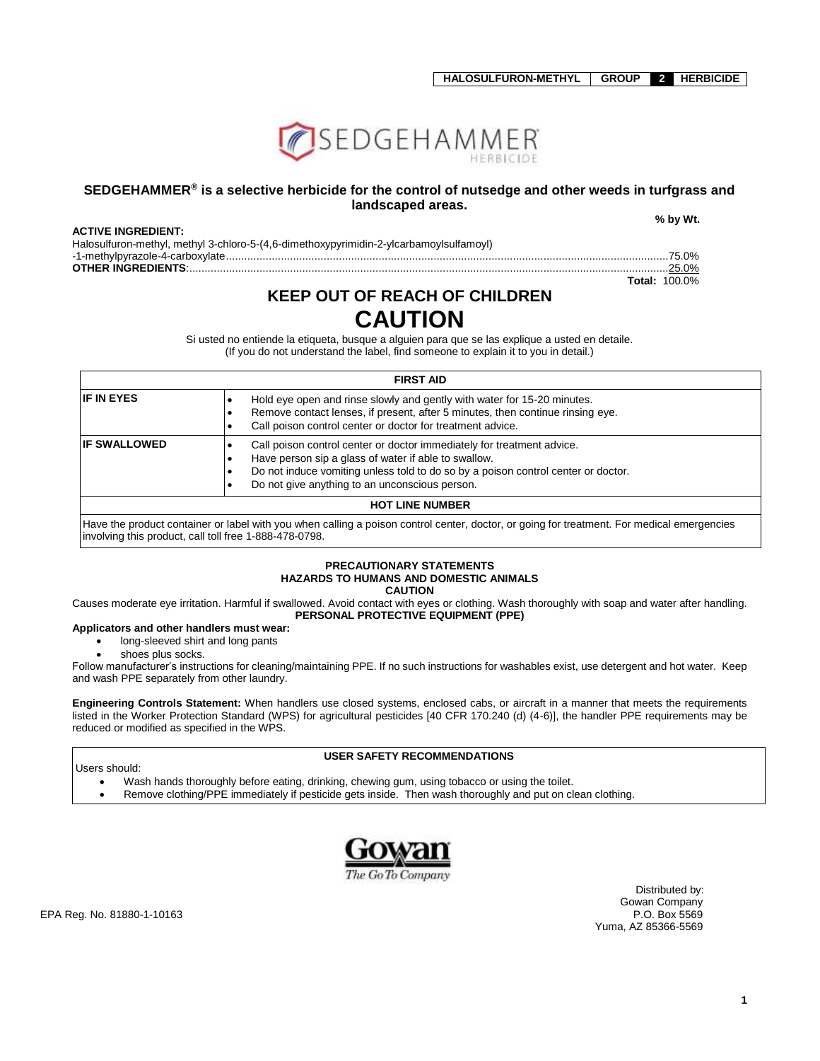

### **SEDGEHAMMER® is a selective herbicide for the control of nutsedge and other weeds in turfgrass and landscaped areas.**

#### **ACTIVE INGREDIENT:**

 **% by Wt.**

| Halosulfuron-methyl, methyl 3-chloro-5-(4,6-dimethoxypyrimidin-2-ylcarbamoylsulfamoyl) |               |
|----------------------------------------------------------------------------------------|---------------|
|                                                                                        |               |
|                                                                                        | $\dots$ 25.0% |

-1-methylpyrazole-4-carboxylate.................................................................................................................................................75.0% **Total:** 100.0%

# **KEEP OUT OF REACH OF CHILDREN CAUTION**

Si usted no entiende la etiqueta, busque a alguien para que se las explique a usted en detaile. (If you do not understand the label, find someone to explain it to you in detail.)

| <b>FIRST AID</b>                                                                                                                                                                                                                                                                             |                                                                                                                                                                                                                         |  |  |  |
|----------------------------------------------------------------------------------------------------------------------------------------------------------------------------------------------------------------------------------------------------------------------------------------------|-------------------------------------------------------------------------------------------------------------------------------------------------------------------------------------------------------------------------|--|--|--|
| <b>IF IN EYES</b>                                                                                                                                                                                                                                                                            | Hold eye open and rinse slowly and gently with water for 15-20 minutes.<br>Remove contact lenses, if present, after 5 minutes, then continue rinsing eye.<br>Call poison control center or doctor for treatment advice. |  |  |  |
| <b>IF SWALLOWED</b><br>Call poison control center or doctor immediately for treatment advice.<br>Have person sip a glass of water if able to swallow.<br>Do not induce vomiting unless told to do so by a poison control center or doctor.<br>Do not give anything to an unconscious person. |                                                                                                                                                                                                                         |  |  |  |
| <b>HOT LINE NUMBER</b>                                                                                                                                                                                                                                                                       |                                                                                                                                                                                                                         |  |  |  |
| Have the product container or label with you when calling a poison control center, doctor, or going for treatment. For medical emergencies                                                                                                                                                   |                                                                                                                                                                                                                         |  |  |  |

product container or label with you when calling a poison control center, doctor, or going for treatment. For medical emergencies involving this product, call toll free 1-888-478-0798.

#### **PRECAUTIONARY STATEMENTS HAZARDS TO HUMANS AND DOMESTIC ANIMALS CAUTION**

Causes moderate eye irritation. Harmful if swallowed. Avoid contact with eyes or clothing. Wash thoroughly with soap and water after handling. **PERSONAL PROTECTIVE EQUIPMENT (PPE)**

### **Applicators and other handlers must wear:**

- long-sleeved shirt and long pants
- shoes plus socks.

Follow manufacturer's instructions for cleaning/maintaining PPE. If no such instructions for washables exist, use detergent and hot water. Keep and wash PPE separately from other laundry.

**Engineering Controls Statement:** When handlers use closed systems, enclosed cabs, or aircraft in a manner that meets the requirements listed in the Worker Protection Standard (WPS) for agricultural pesticides [40 CFR 170.240 (d) (4-6)], the handler PPE requirements may be reduced or modified as specified in the WPS.

### **USER SAFETY RECOMMENDATIONS**

Users should:

- Wash hands thoroughly before eating, drinking, chewing gum, using tobacco or using the toilet.
- Remove clothing/PPE immediately if pesticide gets inside. Then wash thoroughly and put on clean clothing.



 Distributed by: Gowan Company<br>P.O. Box 5569 Yuma, AZ 85366-5569

EPA Reg. No. 81880-1-10163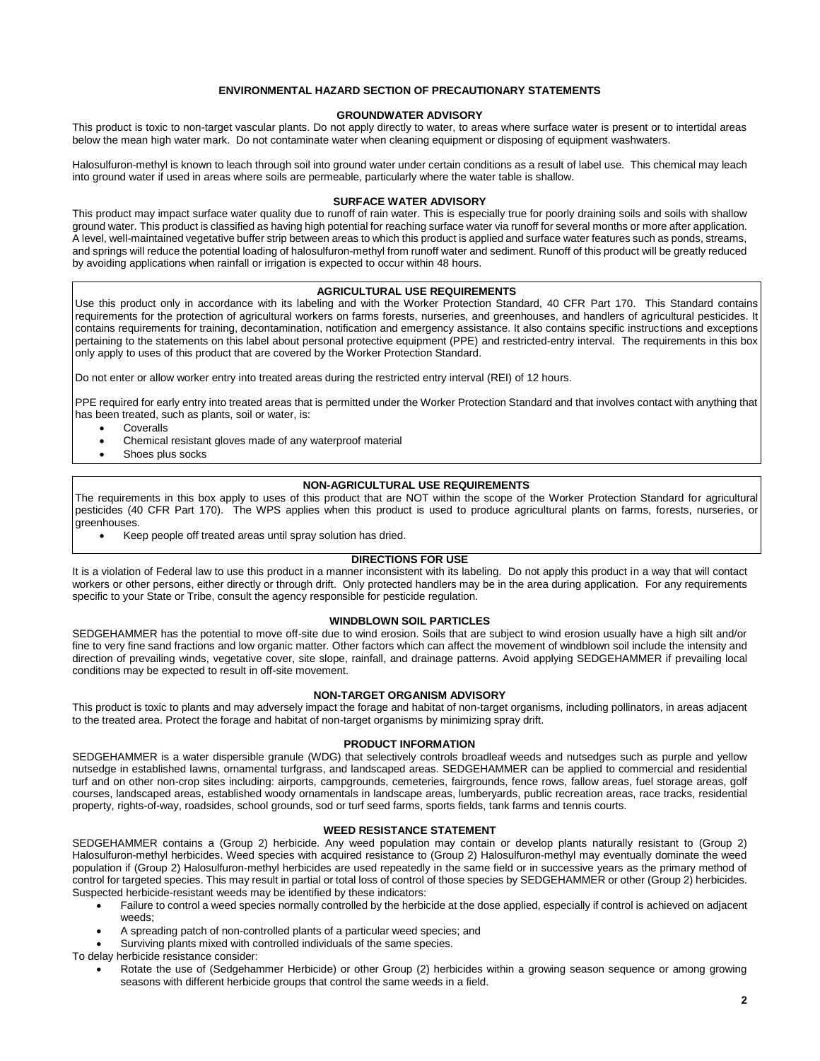#### **ENVIRONMENTAL HAZARD SECTION OF PRECAUTIONARY STATEMENTS**

#### **GROUNDWATER ADVISORY**

This product is toxic to non-target vascular plants. Do not apply directly to water, to areas where surface water is present or to intertidal areas below the mean high water mark. Do not contaminate water when cleaning equipment or disposing of equipment washwaters.

Halosulfuron-methyl is known to leach through soil into ground water under certain conditions as a result of label use. This chemical may leach into ground water if used in areas where soils are permeable, particularly where the water table is shallow.

#### **SURFACE WATER ADVISORY**

This product may impact surface water quality due to runoff of rain water. This is especially true for poorly draining soils and soils with shallow ground water. This product is classified as having high potential for reaching surface water via runoff for several months or more after application. A level, well-maintained vegetative buffer strip between areas to which this product is applied and surface water features such as ponds, streams, and springs will reduce the potential loading of halosulfuron-methyl from runoff water and sediment. Runoff of this product will be greatly reduced by avoiding applications when rainfall or irrigation is expected to occur within 48 hours.

#### **AGRICULTURAL USE REQUIREMENTS**

Use this product only in accordance with its labeling and with the Worker Protection Standard, 40 CFR Part 170. This Standard contains requirements for the protection of agricultural workers on farms forests, nurseries, and greenhouses, and handlers of agricultural pesticides. It contains requirements for training, decontamination, notification and emergency assistance. It also contains specific instructions and exceptions pertaining to the statements on this label about personal protective equipment (PPE) and restricted-entry interval. The requirements in this box only apply to uses of this product that are covered by the Worker Protection Standard.

Do not enter or allow worker entry into treated areas during the restricted entry interval (REI) of 12 hours.

PPE required for early entry into treated areas that is permitted under the Worker Protection Standard and that involves contact with anything that has been treated, such as plants, soil or water, is:

- Coveralls
- Chemical resistant gloves made of any waterproof material
- Shoes plus socks

### **NON-AGRICULTURAL USE REQUIREMENTS**

The requirements in this box apply to uses of this product that are NOT within the scope of the Worker Protection Standard for agricultural pesticides (40 CFR Part 170). The WPS applies when this product is used to produce agricultural plants on farms, forests, nurseries, or greenhouses.

Keep people off treated areas until spray solution has dried.

### **DIRECTIONS FOR USE**

It is a violation of Federal law to use this product in a manner inconsistent with its labeling. Do not apply this product in a way that will contact workers or other persons, either directly or through drift. Only protected handlers may be in the area during application. For any requirements specific to your State or Tribe, consult the agency responsible for pesticide regulation.

#### **WINDBLOWN SOIL PARTICLES**

SEDGEHAMMER has the potential to move off-site due to wind erosion. Soils that are subject to wind erosion usually have a high silt and/or fine to very fine sand fractions and low organic matter. Other factors which can affect the movement of windblown soil include the intensity and direction of prevailing winds, vegetative cover, site slope, rainfall, and drainage patterns. Avoid applying SEDGEHAMMER if prevailing local conditions may be expected to result in off-site movement.

#### **NON-TARGET ORGANISM ADVISORY**

This product is toxic to plants and may adversely impact the forage and habitat of non-target organisms, including pollinators, in areas adjacent to the treated area. Protect the forage and habitat of non-target organisms by minimizing spray drift.

#### **PRODUCT INFORMATION**

SEDGEHAMMER is a water dispersible granule (WDG) that selectively controls broadleaf weeds and nutsedges such as purple and yellow nutsedge in established lawns, ornamental turfgrass, and landscaped areas. SEDGEHAMMER can be applied to commercial and residential turf and on other non-crop sites including: airports, campgrounds, cemeteries, fairgrounds, fence rows, fallow areas, fuel storage areas, golf courses, landscaped areas, established woody ornamentals in landscape areas, lumberyards, public recreation areas, race tracks, residential property, rights-of-way, roadsides, school grounds, sod or turf seed farms, sports fields, tank farms and tennis courts.

#### **WEED RESISTANCE STATEMENT**

SEDGEHAMMER contains a (Group 2) herbicide. Any weed population may contain or develop plants naturally resistant to (Group 2) Halosulfuron-methyl herbicides. Weed species with acquired resistance to (Group 2) Halosulfuron-methyl may eventually dominate the weed population if (Group 2) Halosulfuron-methyl herbicides are used repeatedly in the same field or in successive years as the primary method of control for targeted species. This may result in partial or total loss of control of those species by SEDGEHAMMER or other (Group 2) herbicides. Suspected herbicide-resistant weeds may be identified by these indicators:

- Failure to control a weed species normally controlled by the herbicide at the dose applied, especially if control is achieved on adjacent weeds;
- A spreading patch of non-controlled plants of a particular weed species; and
- Surviving plants mixed with controlled individuals of the same species.

To delay herbicide resistance consider:

 Rotate the use of (Sedgehammer Herbicide) or other Group (2) herbicides within a growing season sequence or among growing seasons with different herbicide groups that control the same weeds in a field.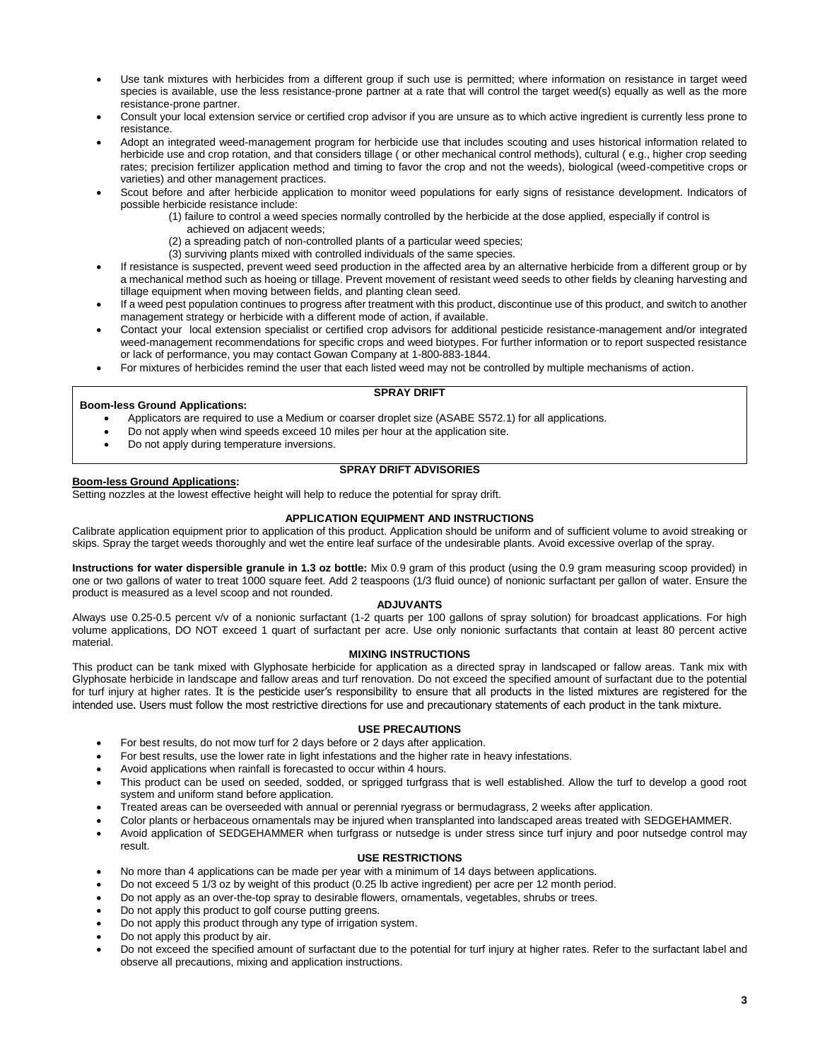- Use tank mixtures with herbicides from a different group if such use is permitted; where information on resistance in target weed species is available, use the less resistance-prone partner at a rate that will control the target weed(s) equally as well as the more resistance-prone partner.
- Consult your local extension service or certified crop advisor if you are unsure as to which active ingredient is currently less prone to resistance.
- Adopt an integrated weed-management program for herbicide use that includes scouting and uses historical information related to herbicide use and crop rotation, and that considers tillage ( or other mechanical control methods), cultural ( e.g., higher crop seeding rates; precision fertilizer application method and timing to favor the crop and not the weeds), biological (weed-competitive crops or varieties) and other management practices.
- Scout before and after herbicide application to monitor weed populations for early signs of resistance development. Indicators of possible herbicide resistance include:
	- (1) failure to control a weed species normally controlled by the herbicide at the dose applied, especially if control is
		- achieved on adjacent weeds;
		- (2) a spreading patch of non-controlled plants of a particular weed species;
		- (3) surviving plants mixed with controlled individuals of the same species.
- If resistance is suspected, prevent weed seed production in the affected area by an alternative herbicide from a different group or by a mechanical method such as hoeing or tillage. Prevent movement of resistant weed seeds to other fields by cleaning harvesting and tillage equipment when moving between fields, and planting clean seed.
- If a weed pest population continues to progress after treatment with this product, discontinue use of this product, and switch to another management strategy or herbicide with a different mode of action, if available.
- Contact your local extension specialist or certified crop advisors for additional pesticide resistance-management and/or integrated weed-management recommendations for specific crops and weed biotypes. For further information or to report suspected resistance or lack of performance, you may contact Gowan Company at 1-800-883-1844.
- For mixtures of herbicides remind the user that each listed weed may not be controlled by multiple mechanisms of action.

### **SPRAY DRIFT**

- **Boom-less Ground Applications:** Applicators are required to use a Medium or coarser droplet size (ASABE S572.1) for all applications.
	- Do not apply when wind speeds exceed 10 miles per hour at the application site.
	- Do not apply during temperature inversions.

**Boom-less Ground Applications:**

### **SPRAY DRIFT ADVISORIES**

Setting nozzles at the lowest effective height will help to reduce the potential for spray drift.

### **APPLICATION EQUIPMENT AND INSTRUCTIONS**

Calibrate application equipment prior to application of this product. Application should be uniform and of sufficient volume to avoid streaking or skips. Spray the target weeds thoroughly and wet the entire leaf surface of the undesirable plants. Avoid excessive overlap of the spray.

**Instructions for water dispersible granule in 1.3 oz bottle:** Mix 0.9 gram of this product (using the 0.9 gram measuring scoop provided) in one or two gallons of water to treat 1000 square feet. Add 2 teaspoons (1/3 fluid ounce) of nonionic surfactant per gallon of water. Ensure the product is measured as a level scoop and not rounded.

### **ADJUVANTS**

Always use 0.25-0.5 percent v/v of a nonionic surfactant (1-2 quarts per 100 gallons of spray solution) for broadcast applications. For high volume applications, DO NOT exceed 1 quart of surfactant per acre. Use only nonionic surfactants that contain at least 80 percent active material.

### **MIXING INSTRUCTIONS**

This product can be tank mixed with Glyphosate herbicide for application as a directed spray in landscaped or fallow areas. Tank mix with Glyphosate herbicide in landscape and fallow areas and turf renovation. Do not exceed the specified amount of surfactant due to the potential for turf injury at higher rates. It is the pesticide user's responsibility to ensure that all products in the listed mixtures are registered for the intended use. Users must follow the most restrictive directions for use and precautionary statements of each product in the tank mixture.

### **USE PRECAUTIONS**

- For best results, do not mow turf for 2 days before or 2 days after application.
- For best results, use the lower rate in light infestations and the higher rate in heavy infestations.
- Avoid applications when rainfall is forecasted to occur within 4 hours.
- This product can be used on seeded, sodded, or sprigged turfgrass that is well established. Allow the turf to develop a good root system and uniform stand before application.
- Treated areas can be overseeded with annual or perennial ryegrass or bermudagrass, 2 weeks after application.
- Color plants or herbaceous ornamentals may be injured when transplanted into landscaped areas treated with SEDGEHAMMER.
- Avoid application of SEDGEHAMMER when turfgrass or nutsedge is under stress since turf injury and poor nutsedge control may result.

#### **USE RESTRICTIONS**

- No more than 4 applications can be made per year with a minimum of 14 days between applications.
- Do not exceed 5 1/3 oz by weight of this product (0.25 lb active ingredient) per acre per 12 month period.
- Do not apply as an over-the-top spray to desirable flowers, ornamentals, vegetables, shrubs or trees.
- Do not apply this product to golf course putting greens.
- Do not apply this product through any type of irrigation system.
- Do not apply this product by air.
- Do not exceed the specified amount of surfactant due to the potential for turf injury at higher rates. Refer to the surfactant label and observe all precautions, mixing and application instructions.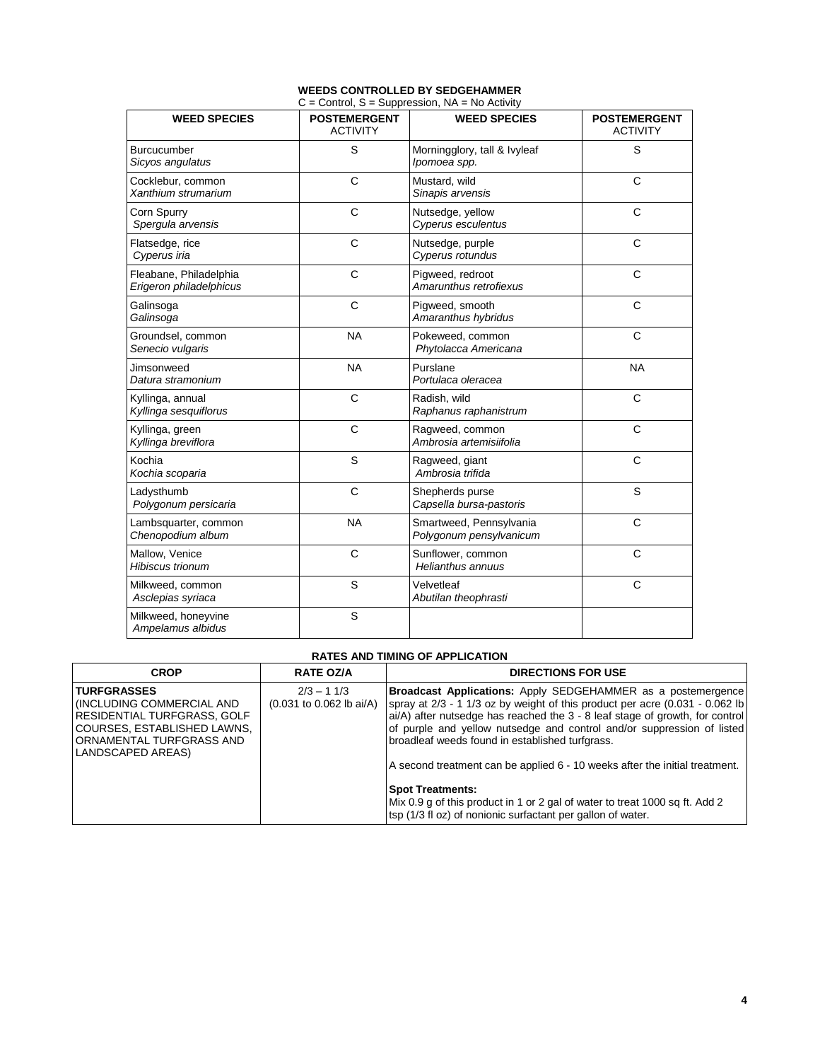#### **WEEDS CONTROLLED BY SEDGEHAMMER**  C = Control, S = Suppression, NA = No Activity

| <b>WEED SPECIES</b>                               | <b>POSTEMERGENT</b><br><b>ACTIVITY</b> | $\sigma$ – Control, $\sigma$ – Suppression, TVA – TVO Activity<br><b>WEED SPECIES</b> | <b>POSTEMERGENT</b><br><b>ACTIVITY</b> |  |
|---------------------------------------------------|----------------------------------------|---------------------------------------------------------------------------------------|----------------------------------------|--|
| Burcucumber<br>Sicyos angulatus                   | S                                      | Morningglory, tall & Ivyleaf<br>Ipomoea spp.                                          | S                                      |  |
| Cocklebur, common<br>Xanthium strumarium          | $\mathsf{C}$                           | Mustard, wild<br>Sinapis arvensis                                                     | $\mathsf{C}$                           |  |
| Corn Spurry<br>Spergula arvensis                  | $\mathsf{C}$                           | Nutsedge, yellow<br>Cyperus esculentus                                                |                                        |  |
| Flatsedge, rice<br>Cyperus iria                   | C                                      | Nutsedge, purple<br>Cyperus rotundus                                                  |                                        |  |
| Fleabane, Philadelphia<br>Erigeron philadelphicus | $\mathsf{C}$                           | Pigweed, redroot<br>Amarunthus retrofiexus                                            | C                                      |  |
| Galinsoga<br>Galinsoga                            | $\mathsf{C}$                           | Pigweed, smooth<br>Amaranthus hybridus                                                | $\mathsf{C}$                           |  |
| Groundsel, common<br>Senecio vulgaris             | <b>NA</b>                              | Pokeweed, common<br>Phytolacca Americana                                              | C                                      |  |
| Jimsonweed<br>Datura stramonium                   | <b>NA</b>                              | Purslane<br>Portulaca oleracea                                                        | <b>NA</b>                              |  |
| Kyllinga, annual<br>Kyllinga sesquiflorus         | $\mathsf{C}$                           | Radish, wild<br>Raphanus raphanistrum                                                 | $\mathsf{C}$                           |  |
| Kyllinga, green<br>Kyllinga breviflora            | $\mathsf{C}$                           | Ragweed, common<br>Ambrosia artemisiifolia                                            | $\mathsf{C}$                           |  |
| Kochia<br>Kochia scoparia                         | S                                      | Ragweed, giant<br>Ambrosia trifida                                                    | $\mathsf{C}$                           |  |
| Ladysthumb<br>Polygonum persicaria                | C                                      | Shepherds purse<br>Capsella bursa-pastoris                                            | S                                      |  |
| Lambsquarter, common<br>Chenopodium album         | <b>NA</b>                              | Smartweed, Pennsylvania<br>Polygonum pensylvanicum                                    | C                                      |  |
| Mallow, Venice<br><b>Hibiscus trionum</b>         | $\mathsf{C}$                           | Sunflower, common<br>Helianthus annuus                                                | C                                      |  |
| Milkweed, common<br>Asclepias syriaca             | S                                      | Velvetleaf<br>Abutilan theophrasti                                                    | $\mathsf{C}$                           |  |
| Milkweed, honeyvine<br>Ampelamus albidus          | S                                      |                                                                                       |                                        |  |

### **RATES AND TIMING OF APPLICATION**

| <b>CROP</b>                                                                                                                                                                 | <b>RATE OZ/A</b>                           | <b>DIRECTIONS FOR USE</b>                                                                                                                                                                                                                                                                                                                                                                                                                                                                                                                                                                                                    |
|-----------------------------------------------------------------------------------------------------------------------------------------------------------------------------|--------------------------------------------|------------------------------------------------------------------------------------------------------------------------------------------------------------------------------------------------------------------------------------------------------------------------------------------------------------------------------------------------------------------------------------------------------------------------------------------------------------------------------------------------------------------------------------------------------------------------------------------------------------------------------|
| <b>TURFGRASSES</b><br><b>INCLUDING COMMERCIAL AND</b><br><b>RESIDENTIAL TURFGRASS, GOLF</b><br>COURSES. ESTABLISHED LAWNS.<br>ORNAMENTAL TURFGRASS AND<br>LANDSCAPED AREAS) | $2/3 - 11/3$<br>$(0.031$ to 0.062 lb ai/A) | <b>Broadcast Applications:</b> Apply SEDGEHAMMER as a postemergence<br>spray at $2/3$ - 1 1/3 oz by weight of this product per acre $(0.031 - 0.062$ lb<br>ai/A) after nutsedge has reached the 3 - 8 leaf stage of growth, for control<br>of purple and yellow nutsedge and control and/or suppression of listed<br>broadleaf weeds found in established turfgrass.<br>A second treatment can be applied 6 - 10 weeks after the initial treatment.<br><b>Spot Treatments:</b><br>Mix 0.9 g of this product in 1 or 2 gal of water to treat 1000 sq ft. Add 2<br>tsp (1/3 fl oz) of nonionic surfactant per gallon of water. |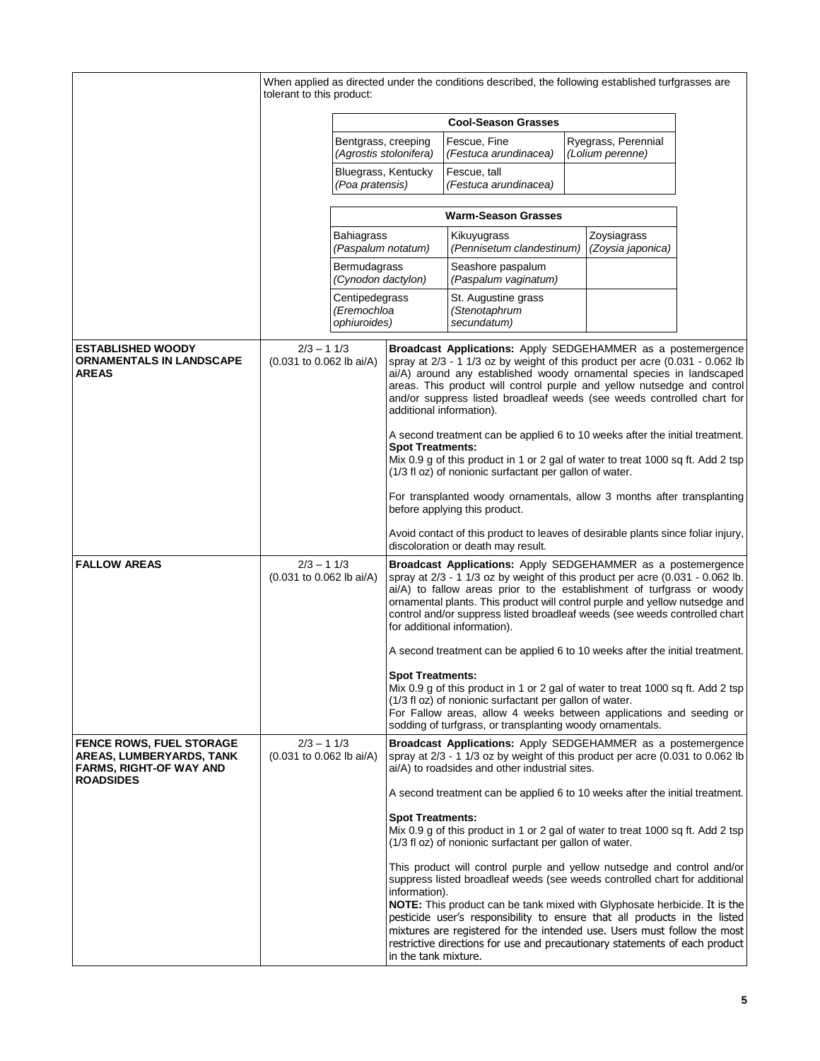|                                                                                               | When applied as directed under the conditions described, the following established turfgrasses are |                                               |                                                                                                                                                                                                                                                                                                                                                                                                      |                                                                                                                                                                                                                                                                                                                                                                                                                                                                            |  |                                         |  |
|-----------------------------------------------------------------------------------------------|----------------------------------------------------------------------------------------------------|-----------------------------------------------|------------------------------------------------------------------------------------------------------------------------------------------------------------------------------------------------------------------------------------------------------------------------------------------------------------------------------------------------------------------------------------------------------|----------------------------------------------------------------------------------------------------------------------------------------------------------------------------------------------------------------------------------------------------------------------------------------------------------------------------------------------------------------------------------------------------------------------------------------------------------------------------|--|-----------------------------------------|--|
|                                                                                               | tolerant to this product:                                                                          |                                               |                                                                                                                                                                                                                                                                                                                                                                                                      |                                                                                                                                                                                                                                                                                                                                                                                                                                                                            |  |                                         |  |
|                                                                                               | <b>Cool-Season Grasses</b>                                                                         |                                               |                                                                                                                                                                                                                                                                                                                                                                                                      |                                                                                                                                                                                                                                                                                                                                                                                                                                                                            |  |                                         |  |
|                                                                                               | Bentgrass, creeping                                                                                |                                               | (Agrostis stolonifera)                                                                                                                                                                                                                                                                                                                                                                               | Fescue, Fine<br>(Festuca arundinacea)                                                                                                                                                                                                                                                                                                                                                                                                                                      |  | Ryegrass, Perennial<br>(Lolium perenne) |  |
|                                                                                               |                                                                                                    | Bluegrass, Kentucky<br>(Poa pratensis)        |                                                                                                                                                                                                                                                                                                                                                                                                      | Fescue, tall<br>(Festuca arundinacea)                                                                                                                                                                                                                                                                                                                                                                                                                                      |  |                                         |  |
|                                                                                               |                                                                                                    |                                               |                                                                                                                                                                                                                                                                                                                                                                                                      | <b>Warm-Season Grasses</b>                                                                                                                                                                                                                                                                                                                                                                                                                                                 |  |                                         |  |
|                                                                                               |                                                                                                    | <b>Bahiagrass</b><br>(Paspalum notatum)       |                                                                                                                                                                                                                                                                                                                                                                                                      | Kikuyugrass<br>(Pennisetum clandestinum)                                                                                                                                                                                                                                                                                                                                                                                                                                   |  | Zoysiagrass<br>(Zoysia japonica)        |  |
|                                                                                               |                                                                                                    | Bermudagrass<br>(Cynodon dactylon)            |                                                                                                                                                                                                                                                                                                                                                                                                      | Seashore paspalum<br>(Paspalum vaginatum)                                                                                                                                                                                                                                                                                                                                                                                                                                  |  |                                         |  |
|                                                                                               |                                                                                                    | Centipedegrass<br>(Eremochloa<br>ophiuroides) |                                                                                                                                                                                                                                                                                                                                                                                                      | St. Augustine grass<br>(Stenotaphrum<br>secundatum)                                                                                                                                                                                                                                                                                                                                                                                                                        |  |                                         |  |
|                                                                                               |                                                                                                    |                                               |                                                                                                                                                                                                                                                                                                                                                                                                      |                                                                                                                                                                                                                                                                                                                                                                                                                                                                            |  |                                         |  |
| <b>ESTABLISHED WOODY</b><br><b>ORNAMENTALS IN LANDSCAPE</b><br><b>AREAS</b>                   | $2/3 - 11/3$<br>(0.031 to 0.062 lb ai/A)                                                           |                                               | Broadcast Applications: Apply SEDGEHAMMER as a postemergence<br>spray at 2/3 - 1 1/3 oz by weight of this product per acre (0.031 - 0.062 lb<br>ai/A) around any established woody ornamental species in landscaped<br>areas. This product will control purple and yellow nutsedge and control<br>and/or suppress listed broadleaf weeds (see weeds controlled chart for<br>additional information). |                                                                                                                                                                                                                                                                                                                                                                                                                                                                            |  |                                         |  |
|                                                                                               |                                                                                                    |                                               | <b>Spot Treatments:</b>                                                                                                                                                                                                                                                                                                                                                                              | A second treatment can be applied 6 to 10 weeks after the initial treatment.<br>Mix 0.9 g of this product in 1 or 2 gal of water to treat 1000 sq ft. Add 2 tsp<br>(1/3 fl oz) of nonionic surfactant per gallon of water.                                                                                                                                                                                                                                                 |  |                                         |  |
|                                                                                               |                                                                                                    |                                               |                                                                                                                                                                                                                                                                                                                                                                                                      | For transplanted woody ornamentals, allow 3 months after transplanting<br>before applying this product.                                                                                                                                                                                                                                                                                                                                                                    |  |                                         |  |
|                                                                                               |                                                                                                    |                                               |                                                                                                                                                                                                                                                                                                                                                                                                      | Avoid contact of this product to leaves of desirable plants since foliar injury,<br>discoloration or death may result.                                                                                                                                                                                                                                                                                                                                                     |  |                                         |  |
| <b>FALLOW AREAS</b>                                                                           | $2/3 - 11/3$<br>(0.031 to 0.062 lb ai/A)                                                           |                                               |                                                                                                                                                                                                                                                                                                                                                                                                      | Broadcast Applications: Apply SEDGEHAMMER as a postemergence<br>spray at 2/3 - 1 1/3 oz by weight of this product per acre (0.031 - 0.062 lb.<br>ai/A) to fallow areas prior to the establishment of turfgrass or woody<br>ornamental plants. This product will control purple and yellow nutsedge and<br>control and/or suppress listed broadleaf weeds (see weeds controlled chart<br>for additional information).                                                       |  |                                         |  |
|                                                                                               |                                                                                                    |                                               |                                                                                                                                                                                                                                                                                                                                                                                                      | A second treatment can be applied 6 to 10 weeks after the initial treatment.                                                                                                                                                                                                                                                                                                                                                                                               |  |                                         |  |
|                                                                                               |                                                                                                    |                                               | <b>Spot Treatments:</b>                                                                                                                                                                                                                                                                                                                                                                              | Mix 0.9 g of this product in 1 or 2 gal of water to treat 1000 sq ft. Add 2 tsp<br>(1/3 fl oz) of nonionic surfactant per gallon of water.<br>For Fallow areas, allow 4 weeks between applications and seeding or<br>sodding of turfgrass, or transplanting woody ornamentals.                                                                                                                                                                                             |  |                                         |  |
| <b>FENCE ROWS, FUEL STORAGE</b><br>AREAS, LUMBERYARDS, TANK<br><b>FARMS, RIGHT-OF WAY AND</b> | $2/3 - 11/3$<br>(0.031 to 0.062 lb ai/A)                                                           |                                               |                                                                                                                                                                                                                                                                                                                                                                                                      | <b>Broadcast Applications:</b> Apply SEDGEHAMMER as a postemergence<br>spray at 2/3 - 1 1/3 oz by weight of this product per acre (0.031 to 0.062 lb<br>ai/A) to roadsides and other industrial sites.                                                                                                                                                                                                                                                                     |  |                                         |  |
| <b>ROADSIDES</b>                                                                              |                                                                                                    |                                               |                                                                                                                                                                                                                                                                                                                                                                                                      | A second treatment can be applied 6 to 10 weeks after the initial treatment.                                                                                                                                                                                                                                                                                                                                                                                               |  |                                         |  |
|                                                                                               |                                                                                                    |                                               | <b>Spot Treatments:</b>                                                                                                                                                                                                                                                                                                                                                                              | Mix 0.9 g of this product in 1 or 2 gal of water to treat 1000 sq ft. Add 2 tsp<br>(1/3 fl oz) of nonionic surfactant per gallon of water.                                                                                                                                                                                                                                                                                                                                 |  |                                         |  |
|                                                                                               |                                                                                                    |                                               | information).<br>in the tank mixture.                                                                                                                                                                                                                                                                                                                                                                | This product will control purple and yellow nutsedge and control and/or<br>suppress listed broadleaf weeds (see weeds controlled chart for additional<br>NOTE: This product can be tank mixed with Glyphosate herbicide. It is the<br>pesticide user's responsibility to ensure that all products in the listed<br>mixtures are registered for the intended use. Users must follow the most<br>restrictive directions for use and precautionary statements of each product |  |                                         |  |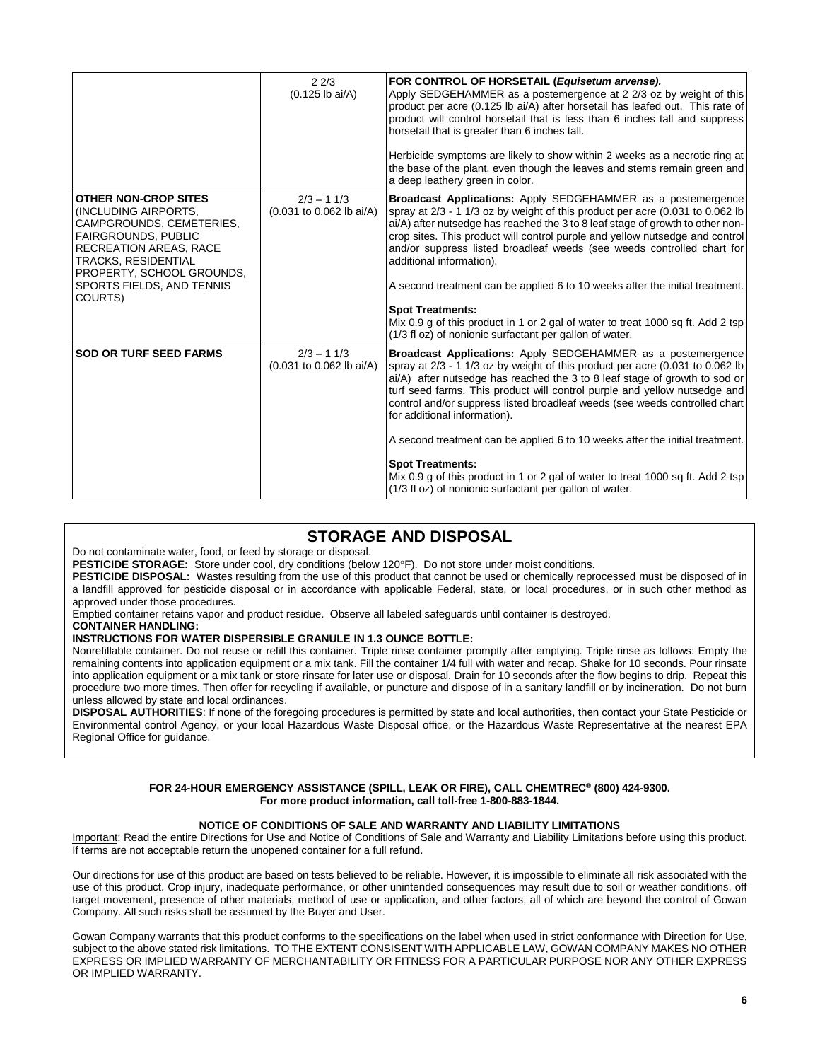|                                                                                                                                                                                                                                                  | 22/3<br>$(0.125$ lb ai/A)                | FOR CONTROL OF HORSETAIL (Equisetum arvense).<br>Apply SEDGEHAMMER as a postemergence at 2 2/3 oz by weight of this<br>product per acre (0.125 lb ai/A) after horsetail has leafed out. This rate of<br>product will control horsetail that is less than 6 inches tall and suppress<br>horsetail that is greater than 6 inches tall.<br>Herbicide symptoms are likely to show within 2 weeks as a necrotic ring at<br>the base of the plant, even though the leaves and stems remain green and<br>a deep leathery green in color.                                                                                                                                                        |
|--------------------------------------------------------------------------------------------------------------------------------------------------------------------------------------------------------------------------------------------------|------------------------------------------|------------------------------------------------------------------------------------------------------------------------------------------------------------------------------------------------------------------------------------------------------------------------------------------------------------------------------------------------------------------------------------------------------------------------------------------------------------------------------------------------------------------------------------------------------------------------------------------------------------------------------------------------------------------------------------------|
| <b>OTHER NON-CROP SITES</b><br><b>INCLUDING AIRPORTS.</b><br>CAMPGROUNDS, CEMETERIES,<br><b>FAIRGROUNDS, PUBLIC</b><br><b>RECREATION AREAS, RACE</b><br>TRACKS, RESIDENTIAL<br>PROPERTY, SCHOOL GROUNDS,<br>SPORTS FIELDS, AND TENNIS<br>COURTS) | $2/3 - 11/3$<br>(0.031 to 0.062 lb ai/A) | <b>Broadcast Applications:</b> Apply SEDGEHAMMER as a postemergence<br>spray at 2/3 - 1 1/3 oz by weight of this product per acre (0.031 to 0.062 lb<br>ai/A) after nutsedge has reached the 3 to 8 leaf stage of growth to other non-<br>crop sites. This product will control purple and yellow nutsedge and control<br>and/or suppress listed broadleaf weeds (see weeds controlled chart for<br>additional information).<br>A second treatment can be applied 6 to 10 weeks after the initial treatment.<br><b>Spot Treatments:</b><br>Mix 0.9 g of this product in 1 or 2 gal of water to treat 1000 sq ft. Add 2 tsp<br>(1/3 fl oz) of nonionic surfactant per gallon of water.    |
| <b>SOD OR TURF SEED FARMS</b>                                                                                                                                                                                                                    | $2/3 - 11/3$<br>(0.031 to 0.062 lb ai/A) | <b>Broadcast Applications:</b> Apply SEDGEHAMMER as a postemergence<br>spray at $2/3$ - 1 1/3 oz by weight of this product per acre (0.031 to 0.062 lb<br>ai/A) after nutsedge has reached the 3 to 8 leaf stage of growth to sod or<br>turf seed farms. This product will control purple and yellow nutsedge and<br>control and/or suppress listed broadleaf weeds (see weeds controlled chart<br>for additional information).<br>A second treatment can be applied 6 to 10 weeks after the initial treatment.<br><b>Spot Treatments:</b><br>Mix 0.9 g of this product in 1 or 2 gal of water to treat 1000 sq ft. Add 2 tsp<br>(1/3 fl oz) of nonionic surfactant per gallon of water. |

# **STORAGE AND DISPOSAL**

Do not contaminate water, food, or feed by storage or disposal.

PESTICIDE STORAGE: Store under cool, dry conditions (below 120°F). Do not store under moist conditions.

PESTICIDE DISPOSAL: Wastes resulting from the use of this product that cannot be used or chemically reprocessed must be disposed of in a landfill approved for pesticide disposal or in accordance with applicable Federal, state, or local procedures, or in such other method as approved under those procedures.

Emptied container retains vapor and product residue. Observe all labeled safeguards until container is destroyed.

## **CONTAINER HANDLING:**

### **INSTRUCTIONS FOR WATER DISPERSIBLE GRANULE IN 1.3 OUNCE BOTTLE:**

Nonrefillable container. Do not reuse or refill this container. Triple rinse container promptly after emptying. Triple rinse as follows: Empty the remaining contents into application equipment or a mix tank. Fill the container 1/4 full with water and recap. Shake for 10 seconds. Pour rinsate into application equipment or a mix tank or store rinsate for later use or disposal. Drain for 10 seconds after the flow begins to drip. Repeat this procedure two more times. Then offer for recycling if available, or puncture and dispose of in a sanitary landfill or by incineration. Do not burn unless allowed by state and local ordinances.

**DISPOSAL AUTHORITIES**: If none of the foregoing procedures is permitted by state and local authorities, then contact your State Pesticide or Environmental control Agency, or your local Hazardous Waste Disposal office, or the Hazardous Waste Representative at the nearest EPA Regional Office for guidance.

#### **FOR 24-HOUR EMERGENCY ASSISTANCE (SPILL, LEAK OR FIRE), CALL CHEMTREC® (800) 424-9300. For more product information, call toll-free 1-800-883-1844.**

### **NOTICE OF CONDITIONS OF SALE AND WARRANTY AND LIABILITY LIMITATIONS**

Important: Read the entire Directions for Use and Notice of Conditions of Sale and Warranty and Liability Limitations before using this product. If terms are not acceptable return the unopened container for a full refund.

Our directions for use of this product are based on tests believed to be reliable. However, it is impossible to eliminate all risk associated with the use of this product. Crop injury, inadequate performance, or other unintended consequences may result due to soil or weather conditions, off target movement, presence of other materials, method of use or application, and other factors, all of which are beyond the control of Gowan Company. All such risks shall be assumed by the Buyer and User.

Gowan Company warrants that this product conforms to the specifications on the label when used in strict conformance with Direction for Use, subject to the above stated risk limitations. TO THE EXTENT CONSISENT WITH APPLICABLE LAW, GOWAN COMPANY MAKES NO OTHER EXPRESS OR IMPLIED WARRANTY OF MERCHANTABILITY OR FITNESS FOR A PARTICULAR PURPOSE NOR ANY OTHER EXPRESS OR IMPLIED WARRANTY.